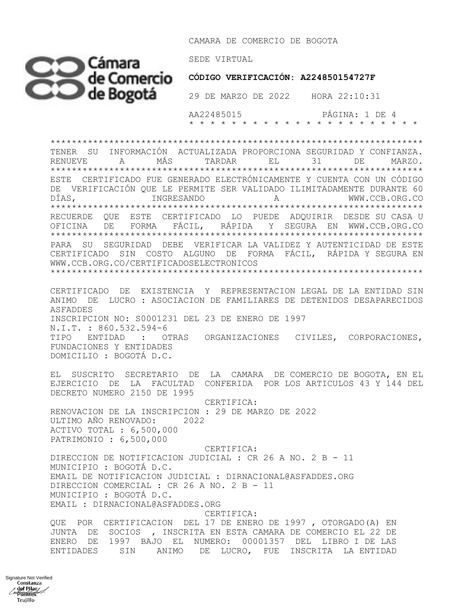CAMARA DE COMERCIO DE BOGOTA



 **CÓDIGO VERIFICACIÓN: A224850154727F**

 AA22485015 PÁGINA: 1 DE 4 \* \* \* \* \* \* \* \* \* \* \* \* \* \* \* \* \* \* \* \* \* \*

\*\*\*\*\*\*\*\*\*\*\*\*\*\*\*\*\*\*\*\*\*\*\*\*\*\*\*\*\*\*\*\*\*\*\*\*\*\*\*\*\*\*\*\*\*\*\*\*\*\*\*\*\*\*\*\*\*\*\*\*\*\*\*\*\*\*\*\*\*\* TENER SU INFORMACIÓN ACTUALIZADA PROPORCIONA SEGURIDAD Y CONFIANZA. RENUEVE A MÁS TARDAR EL 31 DE MARZO. \*\*\*\*\*\*\*\*\*\*\*\*\*\*\*\*\*\*\*\*\*\*\*\*\*\*\*\*\*\*\*\*\*\*\*\*\*\*\*\*\*\*\*\*\*\*\*\*\*\*\*\*\*\*\*\*\*\*\*\*\*\*\*\*\*\*\*\*\*\* ESTE CERTIFICADO FUE GENERADO ELECTRÓNICAMENTE Y CUENTA CON UN CÓDIGO DE VERIFICACIÓN QUE LE PERMITE SER VALIDADO ILIMITADAMENTE DURANTE 60 DÍAS, INGRESANDO A WWW.CCB.ORG.CO \*\*\*\*\*\*\*\*\*\*\*\*\*\*\*\*\*\*\*\*\*\*\*\*\*\*\*\*\*\*\*\*\*\*\*\*\*\*\*\*\*\*\*\*\*\*\*\*\*\*\*\*\*\*\*\*\*\*\*\*\*\*\*\*\*\*\*\*\*\* RECUERDE QUE ESTE CERTIFICADO LO PUEDE ADQUIRIR DESDE SU CASA U OFICINA DE FORMA FÁCIL, RÁPIDA Y SEGURA EN WWW.CCB.ORG.CO \*\*\*\*\*\*\*\*\*\*\*\*\*\*\*\*\*\*\*\*\*\*\*\*\*\*\*\*\*\*\*\*\*\*\*\*\*\*\*\*\*\*\*\*\*\*\*\*\*\*\*\*\*\*\*\*\*\*\*\*\*\*\*\*\*\*\*\*\*\* PARA SU SEGURIDAD DEBE VERIFICAR LA VALIDEZ Y AUTENTICIDAD DE ESTE CERTIFICADO SIN COSTO ALGUNO DE FORMA FÁCIL, RÁPIDA Y SEGURA EN WWW.CCB.ORG.CO/CERTIFICADOSELECTRONICOS \*\*\*\*\*\*\*\*\*\*\*\*\*\*\*\*\*\*\*\*\*\*\*\*\*\*\*\*\*\*\*\*\*\*\*\*\*\*\*\*\*\*\*\*\*\*\*\*\*\*\*\*\*\*\*\*\*\*\*\*\*\*\*\*\*\*\*\*\*\*

CERTIFICADO DE EXISTENCIA Y REPRESENTACION LEGAL DE LA ENTIDAD SIN ANIMO DE LUCRO : ASOCIACION DE FAMILIARES DE DETENIDOS DESAPARECIDOS ASFADDES INSCRIPCION NO: S0001231 DEL 23 DE ENERO DE 1997 N.I.T. : 860.532.594-6 TIPO ENTIDAD : OTRAS ORGANIZACIONES CIVILES, CORPORACIONES, FUNDACIONES Y ENTIDADES DOMICILIO : BOGOTÁ D.C.

EL SUSCRITO SECRETARIO DE LA CAMARA DE COMERCIO DE BOGOTA, EN EL EJERCICIO DE LA FACULTAD CONFERIDA POR LOS ARTICULOS 43 Y 144 DEL DECRETO NUMERO 2150 DE 1995

 CERTIFICA: RENOVACION DE LA INSCRIPCION : 29 DE MARZO DE 2022 ULTIMO AÑO RENOVADO: 2022 ACTIVO TOTAL : 6,500,000 PATRIMONIO : 6,500,000

 CERTIFICA: DIRECCION DE NOTIFICACION JUDICIAL : CR 26 A NO. 2 B - 11 MUNICIPIO : BOGOTÁ D.C. EMAIL DE NOTIFICACION JUDICIAL : DIRNACIONAL@ASFADDES.ORG DIRECCION COMERCIAL : CR 26 A NO. 2 B - 11 MUNICIPIO : BOGOTÁ D.C. EMAIL : DIRNACIONAL@ASFADDES.ORG CERTIFICA:

QUE POR CERTIFICACION DEL 17 DE ENERO DE 1997 , OTORGADO(A) EN JUNTA DE SOCIOS , INSCRITA EN ESTA CAMARA DE COMERCIO EL 22 DE ENERO DE 1997 BAJO EL NUMERO: 00001357 DEL LIBRO I DE LAS ENTIDADES SIN ANIMO DE LUCRO, FUE INSCRITA LA ENTIDAD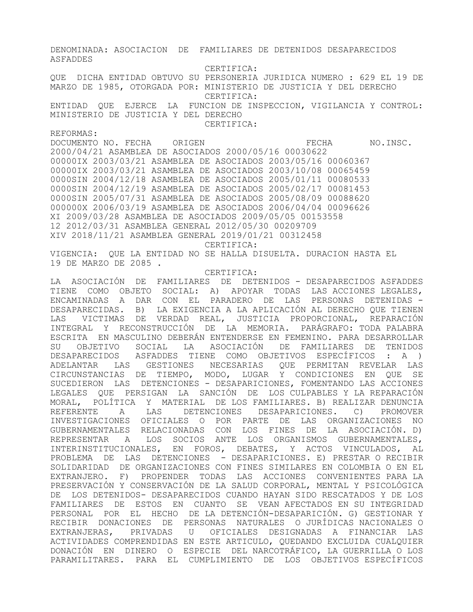DENOMINADA: ASOCIACION DE FAMILIARES DE DETENIDOS DESAPARECIDOS ASFADDES CERTIFICA: QUE DICHA ENTIDAD OBTUVO SU PERSONERIA JURIDICA NUMERO : 629 EL 19 DE MARZO DE 1985, OTORGADA POR: MINISTERIO DE JUSTICIA Y DEL DERECHO CERTIFICA: ENTIDAD QUE EJERCE LA FUNCION DE INSPECCION, VIGILANCIA Y CONTROL: MINISTERIO DE JUSTICIA Y DEL DERECHO CERTIFICA: REFORMAS: DOCUMENTO NO. FECHA ORIGEN **EXAMPLE ORIGEN** FECHA NO.INSC. 2000/04/21 ASAMBLEA DE ASOCIADOS 2000/05/16 00030622 00000IX 2003/03/21 ASAMBLEA DE ASOCIADOS 2003/05/16 00060367 00000IX 2003/03/21 ASAMBLEA DE ASOCIADOS 2003/10/08 00065459 0000SIN 2004/12/18 ASAMBLEA DE ASOCIADOS 2005/01/11 00080533 0000SIN 2004/12/19 ASAMBLEA DE ASOCIADOS 2005/02/17 00081453 0000SIN 2005/07/31 ASAMBLEA DE ASOCIADOS 2005/08/09 00088620 000000X 2006/03/19 ASAMBLEA DE ASOCIADOS 2006/04/04 00096626 XI 2009/03/28 ASAMBLEA DE ASOCIADOS 2009/05/05 00153558 12 2012/03/31 ASAMBLEA GENERAL 2012/05/30 00209709 XIV 2018/11/21 ASAMBLEA GENERAL 2019/01/21 00312458 CERTIFICA: VIGENCIA: QUE LA ENTIDAD NO SE HALLA DISUELTA. DURACION HASTA EL 19 DE MARZO DE 2085 . CERTIFICA: LA ASOCIACIÓN DE FAMILIARES DE DETENIDOS - DESAPARECIDOS ASFADDES TIENE COMO OBJETO SOCIAL: A) APOYAR TODAS LAS ACCIONES LEGALES, ENCAMINADAS A DAR CON EL PARADERO DE LAS PERSONAS DETENIDAS - DESAPARECIDAS. B) LA EXIGENCIA A LA APLICACIÓN AL DERECHO QUE TIENEN LAS VICTIMAS DE VERDAD REAL, JUSTICIA PROPORCIONAL, REPARACIÓN INTEGRAL Y RECONSTRUCCIÓN DE LA MEMORIA. PARÁGRAFO: TODA PALABRA ESCRITA EN MASCULINO DEBERÁN ENTENDERSE EN FEMENINO. PARA DESARROLLAR SU OBJETIVO SOCIAL LA ASOCIACIÓN DE FAMILIARES DE TENIDOS DESAPARECIDOS ASFADDES TIENE COMO OBJETIVOS ESPECÍFICOS : A ) ADELANTAR LAS GESTIONES NECESARIAS QUE PERMITAN REVELAR LAS CIRCUNSTANCIAS DE TIEMPO, MODO, LUGAR Y CONDICIONES EN QUE SE SUCEDIERON LAS DETENCIONES - DESAPARICIONES, FOMENTANDO LAS ACCIONES LEGALES QUE PERSIGAN LA SANCIÓN DE LOS CULPABLES Y LA REPARACIÓN MORAL, POLÍTICA Y MATERIAL DE LOS FAMILIARES. B) REALIZAR DENUNCIA REFERENTE A LAS DETENCIONES DESAPARICIONES. C) PROMOVER INVESTIGACIONES OFICIALES O POR PARTE DE LAS ORGANIZACIONES NO GUBERNAMENTALES RELACIONADAS CON LOS FINES DE LA ASOCIACIÓN. D) REPRESENTAR A LOS SOCIOS ANTE LOS ORGANISMOS GUBERNAMENTALES, INTERINSTITUCIONALES, EN FOROS, DEBATES, Y ACTOS VINCULADOS, AL PROBLEMA DE LAS DETENCIONES - DESAPARICIONES. E) PRESTAR O RECIBIR SOLIDARIDAD DE ORGANIZACIONES CON FINES SIMILARES EN COLOMBIA O EN EL EXTRANJERO. F) PROPENDER TODAS LAS ACCIONES CONVENIENTES PARA LA PRESERVACIÓN Y CONSERVACIÓN DE LA SALUD CORPORAL, MENTAL Y PSICOLÓGICA DE LOS DETENIDOS- DESAPARECIDOS CUANDO HAYAN SIDO RESCATADOS Y DE LOS FAMILIARES DE ESTOS EN CUANTO SE VEAN AFECTADOS EN SU INTEGRIDAD PERSONAL POR EL HECHO DE LA DETENCIÓN-DESAPARICIÓN. G) GESTIONAR Y RECIBIR DONACIONES DE PERSONAS NATURALES O JURÍDICAS NACIONALES O EXTRANJERAS, PRIVADAS U OFICIALES DESIGNADAS A FINANCIAR LAS ACTIVIDADES COMPRENDIDAS EN ESTE ARTICULO, QUEDANDO EXCLUIDA CUALQUIER DONACIÓN EN DINERO O ESPECIE DEL NARCOTRÁFICO, LA GUERRILLA O LOS PARAMILITARES. PARA EL CUMPLIMIENTO DE LOS OBJETIVOS ESPECÍFICOS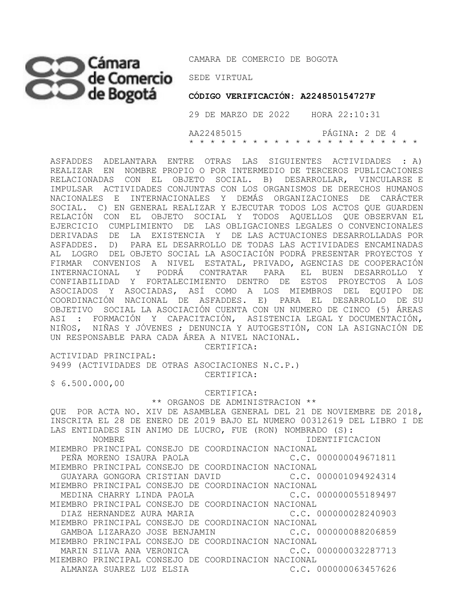## SEDE VIRTUAL

CAMARA DE COMERCIO DE BOGOTA

 **CÓDIGO VERIFICACIÓN: A224850154727F**

 29 DE MARZO DE 2022 HORA 22:10:31 AA22485015 PÁGINA: 2 DE 4 \* \* \* \* \* \* \* \* \* \* \* \* \* \* \* \* \* \* \* \* \* \*

ASFADDES ADELANTARA ENTRE OTRAS LAS SIGUIENTES ACTIVIDADES : A) REALIZAR EN NOMBRE PROPIO O POR INTERMEDIO DE TERCEROS PUBLICACIONES RELACIONADAS CON EL OBJETO SOCIAL. B) DESARROLLAR, VINCULARSE E IMPULSAR ACTIVIDADES CONJUNTAS CON LOS ORGANISMOS DE DERECHOS HUMANOS NACIONALES E INTERNACIONALES Y DEMÁS ORGANIZACIONES DE CARÁCTER SOCIAL. C) EN GENERAL REALIZAR Y EJECUTAR TODOS LOS ACTOS QUE GUARDEN RELACIÓN CON EL OBJETO SOCIAL Y TODOS AQUELLOS QUE OBSERVAN EL EJERCICIO CUMPLIMIENTO DE LAS OBLIGACIONES LEGALES O CONVENCIONALES DERIVADAS DE LA EXISTENCIA Y DE LAS ACTUACIONES DESARROLLADAS POR ASFADDES. D) PARA EL DESARROLLO DE TODAS LAS ACTIVIDADES ENCAMINADAS AL LOGRO DEL OBJETO SOCIAL LA ASOCIACIÓN PODRÁ PRESENTAR PROYECTOS Y FIRMAR CONVENIOS A NIVEL ESTATAL, PRIVADO, AGENCIAS DE COOPERACIÓN INTERNACIONAL Y PODRÁ CONTRATAR PARA EL BUEN DESARROLLO Y CONFIABILIDAD Y FORTALECIMIENTO DENTRO DE ESTOS PROYECTOS A LOS ASOCIADOS Y ASOCIADAS, ASÍ COMO A LOS MIEMBROS DEL EQUIPO DE COORDINACIÓN NACIONAL DE ASFADDES. E) PARA EL DESARROLLO DE SU OBJETIVO SOCIAL LA ASOCIACIÓN CUENTA CON UN NUMERO DE CINCO (5) ÁREAS ASI : FORMACIÓN Y CAPACITACIÓN, ASISTENCIA LEGAL Y DOCUMENTACIÓN, NIÑOS, NIÑAS Y JÓVENES ; DENUNCIA Y AUTOGESTIÓN, CON LA ASIGNACIÓN DE UN RESPONSABLE PARA CADA ÁREA A NIVEL NACIONAL.

CERTIFICA:

ACTIVIDAD PRINCIPAL:

9499 (ACTIVIDADES DE OTRAS ASOCIACIONES N.C.P.) CERTIFICA:

 $$6.500.000,00$ 

 CERTIFICA: \*\* ORGANOS DE ADMINISTRACION \*\* QUE POR ACTA NO. XIV DE ASAMBLEA GENERAL DEL 21 DE NOVIEMBRE DE 2018, INSCRITA EL 28 DE ENERO DE 2019 BAJO EL NUMERO 00312619 DEL LIBRO I DE LAS ENTIDADES SIN ANIMO DE LUCRO, FUE (RON) NOMBRADO (S): NOMBRE IDENTIFICACION MIEMBRO PRINCIPAL CONSEJO DE COORDINACION NACIONAL PEÑA MORENO ISAURA PAOLA CONSIDERADO C.C. 000000049671811 MIEMBRO PRINCIPAL CONSEJO DE COORDINACION NACIONAL GUAYARA GONGORA CRISTIAN DAVID C.C. 000001094924314 MIEMBRO PRINCIPAL CONSEJO DE COORDINACION NACIONAL MEDINA CHARRY LINDA PAOLA C.C. 000000055189497 MIEMBRO PRINCIPAL CONSEJO DE COORDINACION NACIONAL DIAZ HERNANDEZ AURA MARIA C.C. 000000028240903 MIEMBRO PRINCIPAL CONSEJO DE COORDINACION NACIONAL GAMBOA LIZARAZO JOSE BENJAMIN C.C. 000000088206859 MIEMBRO PRINCIPAL CONSEJO DE COORDINACION NACIONAL MARIN SILVA ANA VERONICA C.C. 000000032287713 MIEMBRO PRINCIPAL CONSEJO DE COORDINACION NACIONAL ALMANZA SUAREZ LUZ ELSIA C.C. 000000063457626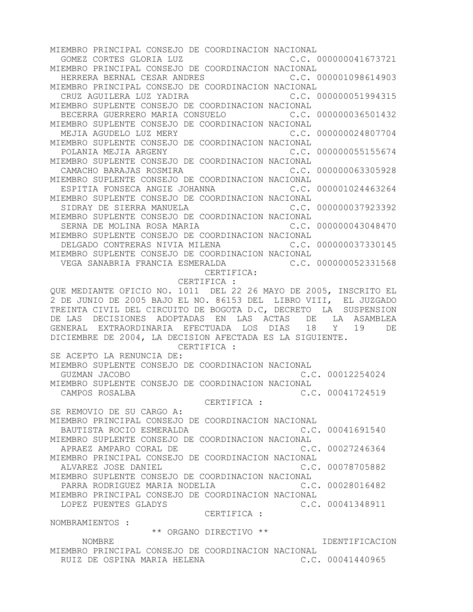MIEMBRO PRINCIPAL CONSEJO DE COORDINACION NACIONAL GOMEZ CORTES GLORIA LUZ C.C. 000000041673721 MIEMBRO PRINCIPAL CONSEJO DE COORDINACION NACIONAL HERRERA BERNAL CESAR ANDRES C.C. 000001098614903 MIEMBRO PRINCIPAL CONSEJO DE COORDINACION NACIONAL CRUZ AGUILERA LUZ YADIRA C.C. 000000051994315 MIEMBRO SUPLENTE CONSEJO DE COORDINACION NACIONAL BECERRA GUERRERO MARIA CONSUELO C.C. 000000036501432 MIEMBRO SUPLENTE CONSEJO DE COORDINACION NACIONAL MEJIA AGUDELO LUZ MERY C.C. 000000024807704 MIEMBRO SUPLENTE CONSEJO DE COORDINACION NACIONAL POLANIA MEJIA ARGENY C.C. 000000055155674 MIEMBRO SUPLENTE CONSEJO DE COORDINACION NACIONAL CAMACHO BARAJAS ROSMIRA C.C. 000000063305928 MIEMBRO SUPLENTE CONSEJO DE COORDINACION NACIONAL ESPITIA FONSECA ANGIE JOHANNA C.C. 000001024463264 MIEMBRO SUPLENTE CONSEJO DE COORDINACION NACIONAL SIDRAY DE SIERRA MANUELA C.C. 000000037923392 MIEMBRO SUPLENTE CONSEJO DE COORDINACION NACIONAL SERNA DE MOLINA ROSA MARIA C.C. 000000043048470 MIEMBRO SUPLENTE CONSEJO DE COORDINACION NACIONAL DELGADO CONTRERAS NIVIA MILENA C.C. 000000037330145 MIEMBRO SUPLENTE CONSEJO DE COORDINACION NACIONAL VEGA SANABRIA FRANCIA ESMERALDA C.C. 000000052331568 CERTIFICA: CERTIFICA : QUE MEDIANTE OFICIO NO. 1011 DEL 22 26 MAYO DE 2005, INSCRITO EL 2 DE JUNIO DE 2005 BAJO EL NO. 86153 DEL LIBRO VIII, EL JUZGADO TREINTA CIVIL DEL CIRCUITO DE BOGOTA D.C, DECRETO LA SUSPENSION DE LAS DECISIONES ADOPTADAS EN LAS ACTAS DE LA ASAMBLEA GENERAL EXTRAORDINARIA EFECTUADA LOS DIAS 18 Y 19 DE DICIEMBRE DE 2004, LA DECISION AFECTADA ES LA SIGUIENTE. CERTIFICA : SE ACEPTO LA RENUNCIA DE: MIEMBRO SUPLENTE CONSEJO DE COORDINACION NACIONAL GUZMAN JACOBO C.C. 00012254024 MIEMBRO SUPLENTE CONSEJO DE COORDINACION NACIONAL CAMPOS ROSALBA C.C. 00041724519 CERTIFICA : SE REMOVIO DE SU CARGO A: MIEMBRO PRINCIPAL CONSEJO DE COORDINACION NACIONAL BAUTISTA ROCIO ESMERALDA C.C. 00041691540 MIEMBRO SUPLENTE CONSEJO DE COORDINACION NACIONAL APRAEZ AMPARO CORAL DE CORONAL CORONAL CONSUMING CORONAL CONTRACT CONTRACT CONTRACT OF CONTRACT OUTLINE MIEMBRO PRINCIPAL CONSEJO DE COORDINACION NACIONAL ALVAREZ JOSE DANIEL **C.C. 00078705882** MIEMBRO SUPLENTE CONSEJO DE COORDINACION NACIONAL PARRA RODRIGUEZ MARIA NODELIA C.C. 00028016482 MIEMBRO PRINCIPAL CONSEJO DE COORDINACION NACIONAL LOPEZ PUENTES GLADYS CONSULTED C.C. 00041348911 CERTIFICA : NOMBRAMIENTOS : \*\* ORGANO DIRECTIVO \*\* NOMBRE IDENTIFICACION MIEMBRO PRINCIPAL CONSEJO DE COORDINACION NACIONAL

RUIZ DE OSPINA MARIA HELENA CONSTRUIT C.C. 00041440965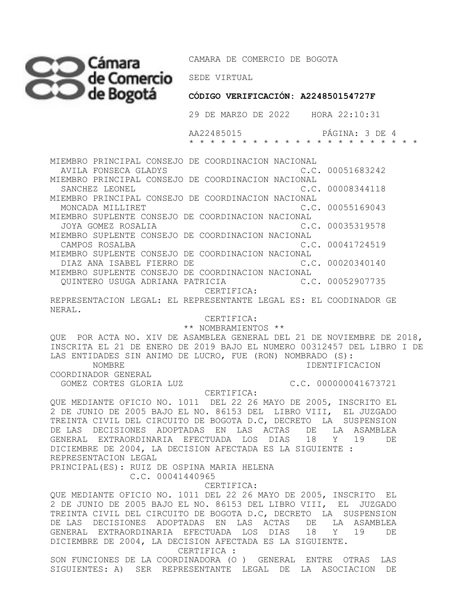## Cámara CAMARA DE CON **de Comercio** SEDE VIRTUAL

CAMARA DE COMERCIO DE BOGOTA

 **CÓDIGO VERIFICACIÓN: A224850154727F**

29 DE MARZO DE 2022 HORA 22:10:31

 AA22485015 PÁGINA: 3 DE 4 \* \* \* \* \* \* \* \* \* \* \* \* \* \* \* \* \* \* \* \* \* \*

MIEMBRO PRINCIPAL CONSEJO DE COORDINACION NACIONAL AVILA FONSECA GLADYS C.C. 00051683242 MIEMBRO PRINCIPAL CONSEJO DE COORDINACION NACIONAL SANCHEZ LEONEL **EXECUTE:** THE SANCHEZ LEONEL MIEMBRO PRINCIPAL CONSEJO DE COORDINACION NACIONAL MONCADA MILLIRET C.C. 00055169043 MIEMBRO SUPLENTE CONSEJO DE COORDINACION NACIONAL JOYA GOMEZ ROSALIA C.C. 00035319578 MIEMBRO SUPLENTE CONSEJO DE COORDINACION NACIONAL CAMPOS ROSALBA C.C. 00041724519 MIEMBRO SUPLENTE CONSEJO DE COORDINACION NACIONAL DIAZ ANA ISABEL FIERRO DE C.C. 00020340140 MIEMBRO SUPLENTE CONSEJO DE COORDINACION NACIONAL<br>QUINTERO USUGA ADRIANA PATRICIA (C.C. 00052907735 QUINTERO USUGA ADRIANA PATRICIA CERTIFICA:

REPRESENTACION LEGAL: EL REPRESENTANTE LEGAL ES: EL COODINADOR GE NERAL.

CERTIFICA:

\*\* NOMBRAMIENTOS \*\*

QUE POR ACTA NO. XIV DE ASAMBLEA GENERAL DEL 21 DE NOVIEMBRE DE 2018, INSCRITA EL 21 DE ENERO DE 2019 BAJO EL NUMERO 00312457 DEL LIBRO I DE LAS ENTIDADES SIN ANIMO DE LUCRO, FUE (RON) NOMBRADO (S): NOMBRE IDENTIFICACION

COORDINADOR GENERAL

GOMEZ CORTES GLORIA LUZ C.C. 000000041673721

CERTIFICA:

QUE MEDIANTE OFICIO NO. 1011 DEL 22 26 MAYO DE 2005, INSCRITO EL 2 DE JUNIO DE 2005 BAJO EL NO. 86153 DEL LIBRO VIII, EL JUZGADO TREINTA CIVIL DEL CIRCUITO DE BOGOTA D.C, DECRETO LA SUSPENSION DE LAS DECISIONES ADOPTADAS EN LAS ACTAS DE LA ASAMBLEA GENERAL EXTRAORDINARIA EFECTUADA LOS DIAS 18 Y 19 DE DICIEMBRE DE 2004, LA DECISION AFECTADA ES LA SIGUIENTE : REPRESENTACION LEGAL PRINCIPAL(ES): RUIZ DE OSPINA MARIA HELENA

C.C. 00041440965

CERTIFICA:

QUE MEDIANTE OFICIO NO. 1011 DEL 22 26 MAYO DE 2005, INSCRITO EL 2 DE JUNIO DE 2005 BAJO EL NO. 86153 DEL LIBRO VIII, EL JUZGADO TREINTA CIVIL DEL CIRCUITO DE BOGOTA D.C, DECRETO LA SUSPENSION DE LAS DECISIONES ADOPTADAS EN LAS ACTAS DE LA ASAMBLEA GENERAL EXTRAORDINARIA EFECTUADA LOS DIAS 18 Y 19 DE DICIEMBRE DE 2004, LA DECISION AFECTADA ES LA SIGUIENTE.

 CERTIFICA : SON FUNCIONES DE LA COORDINADORA (O ) GENERAL ENTRE OTRAS LAS SIGUIENTES: A) SER REPRESENTANTE LEGAL DE LA ASOCIACION DE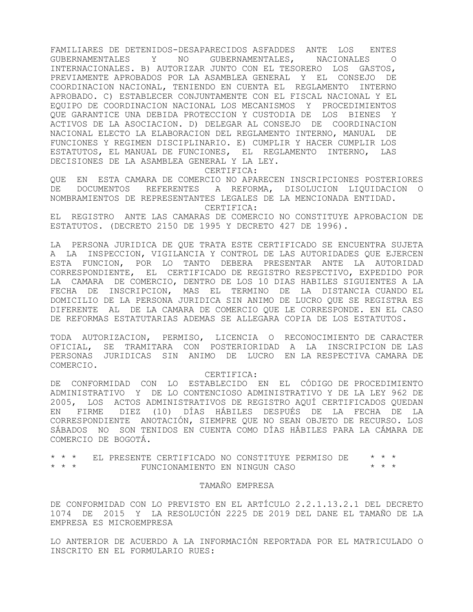FAMILIARES DE DETENIDOS-DESAPARECIDOS ASFADDES ANTE LOS ENTES GUBERNAMENTALES Y NO GUBERNAMENTALES, NACIONALES O INTERNACIONALES. B) AUTORIZAR JUNTO CON EL TESORERO LOS GASTOS, PREVIAMENTE APROBADOS POR LA ASAMBLEA GENERAL Y EL CONSEJO DE COORDINACION NACIONAL, TENIENDO EN CUENTA EL REGLAMENTO INTERNO APROBADO. C) ESTABLECER CONJUNTAMENTE CON EL FISCAL NACIONAL Y EL EQUIPO DE COORDINACION NACIONAL LOS MECANISMOS Y PROCEDIMIENTOS QUE GARANTICE UNA DEBIDA PROTECCION Y CUSTODIA DE LOS BIENES Y ACTIVOS DE LA ASOCIACION. D) DELEGAR AL CONSEJO DE COORDINACION NACIONAL ELECTO LA ELABORACION DEL REGLAMENTO INTERNO, MANUAL DE FUNCIONES Y REGIMEN DISCIPLINARIO. E) CUMPLIR Y HACER CUMPLIR LOS ESTATUTOS, EL MANUAL DE FUNCIONES, EL REGLAMENTO INTERNO, LAS DECISIONES DE LA ASAMBLEA GENERAL Y LA LEY.

CERTIFICA:

QUE EN ESTA CAMARA DE COMERCIO NO APARECEN INSCRIPCIONES POSTERIORES DE DOCUMENTOS REFERENTES A REFORMA, DISOLUCION LIQUIDACION O NOMBRAMIENTOS DE REPRESENTANTES LEGALES DE LA MENCIONADA ENTIDAD. CERTIFICA:

EL REGISTRO ANTE LAS CAMARAS DE COMERCIO NO CONSTITUYE APROBACION DE ESTATUTOS. (DECRETO 2150 DE 1995 Y DECRETO 427 DE 1996).

LA PERSONA JURIDICA DE QUE TRATA ESTE CERTIFICADO SE ENCUENTRA SUJETA A LA INSPECCION, VIGILANCIA Y CONTROL DE LAS AUTORIDADES QUE EJERCEN ESTA FUNCION, POR LO TANTO DEBERA PRESENTAR ANTE LA AUTORIDAD CORRESPONDIENTE, EL CERTIFICADO DE REGISTRO RESPECTIVO, EXPEDIDO POR LA CAMARA DE COMERCIO, DENTRO DE LOS 10 DIAS HABILES SIGUIENTES A LA FECHA DE INSCRIPCION, MAS EL TERMINO DE LA DISTANCIA CUANDO EL DOMICILIO DE LA PERSONA JURIDICA SIN ANIMO DE LUCRO QUE SE REGISTRA ES DIFERENTE AL DE LA CAMARA DE COMERCIO QUE LE CORRESPONDE. EN EL CASO DE REFORMAS ESTATUTARIAS ADEMAS SE ALLEGARA COPIA DE LOS ESTATUTOS.

TODA AUTORIZACION, PERMISO, LICENCIA O RECONOCIMIENTO DE CARACTER OFICIAL, SE TRAMITARA CON POSTERIORIDAD A LA INSCRIPCION DE LAS PERSONAS JURIDICAS SIN ANIMO DE LUCRO EN LA RESPECTIVA CAMARA DE COMERCIO.

CERTIFICA:

DE CONFORMIDAD CON LO ESTABLECIDO EN EL CÓDIGO DE PROCEDIMIENTO ADMINISTRATIVO Y DE LO CONTENCIOSO ADMINISTRATIVO Y DE LA LEY 962 DE 2005, LOS ACTOS ADMINISTRATIVOS DE REGISTRO AQUÍ CERTIFICADOS QUEDAN EN FIRME DIEZ (10) DÍAS HÁBILES DESPUÉS DE LA FECHA DE LA CORRESPONDIENTE ANOTACIÓN, SIEMPRE QUE NO SEAN OBJETO DE RECURSO. LOS SÁBADOS NO SON TENIDOS EN CUENTA COMO DÍAS HÁBILES PARA LA CÁMARA DE COMERCIO DE BOGOTÁ.

\* \* \* EL PRESENTE CERTIFICADO NO CONSTITUYE PERMISO DE \* \* \*  $FUNCIONAMIENTO EN NINGUN CASO$ 

## TAMAÑO EMPRESA

DE CONFORMIDAD CON LO PREVISTO EN EL ARTÍCULO 2.2.1.13.2.1 DEL DECRETO 1074 DE 2015 Y LA RESOLUCIÓN 2225 DE 2019 DEL DANE EL TAMAÑO DE LA EMPRESA ES MICROEMPRESA

LO ANTERIOR DE ACUERDO A LA INFORMACIÓN REPORTADA POR EL MATRICULADO O INSCRITO EN EL FORMULARIO RUES: